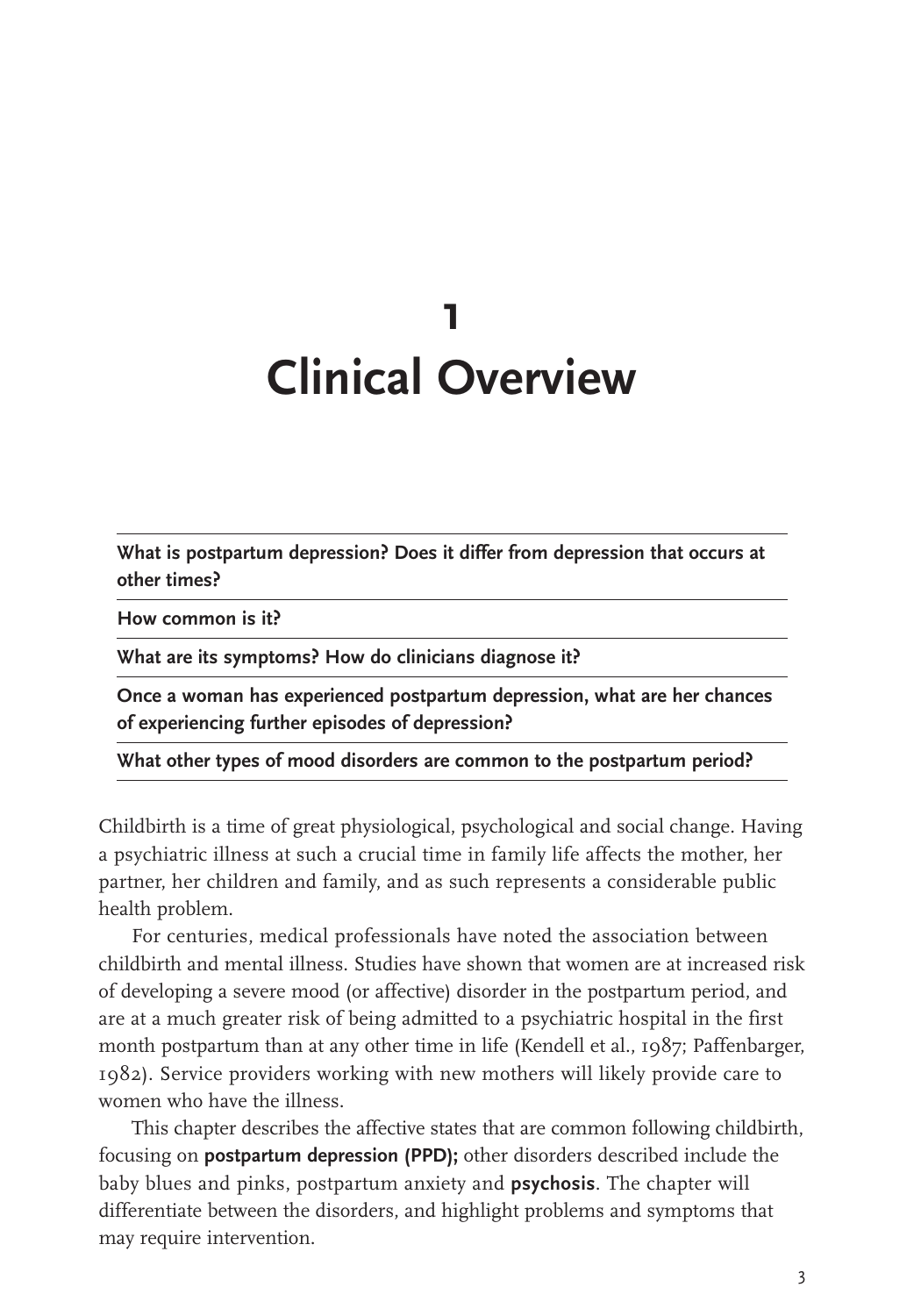# **1 Clinical Overview**

**What is postpartum depression? Does it differ from depression that occurs at other times?**

**How common is it?**

**What are its symptoms? How do clinicians diagnose it?**

**Once a woman has experienced postpartum depression, what are her chances of experiencing further episodes of depression?**

**What other types of mood disorders are common to the postpartum period?**

Childbirth is a time of great physiological, psychological and social change. Having a psychiatric illness at such a crucial time in family life affects the mother, her partner, her children and family, and as such represents a considerable public health problem.

For centuries, medical professionals have noted the association between childbirth and mental illness. Studies have shown that women are at increased risk of developing a severe mood (or affective) disorder in the postpartum period, and are at a much greater risk of being admitted to a psychiatric hospital in the first month postpartum than at any other time in life (Kendell et al., 1987; Paffenbarger, 1982). Service providers working with new mothers will likely provide care to women who have the illness.

This chapter describes the affective states that are common following childbirth, focusing on **postpartum depression (PPD);** other disorders described include the baby blues and pinks, postpartum anxiety and **psychosis**. The chapter will differentiate between the disorders, and highlight problems and symptoms that may require intervention.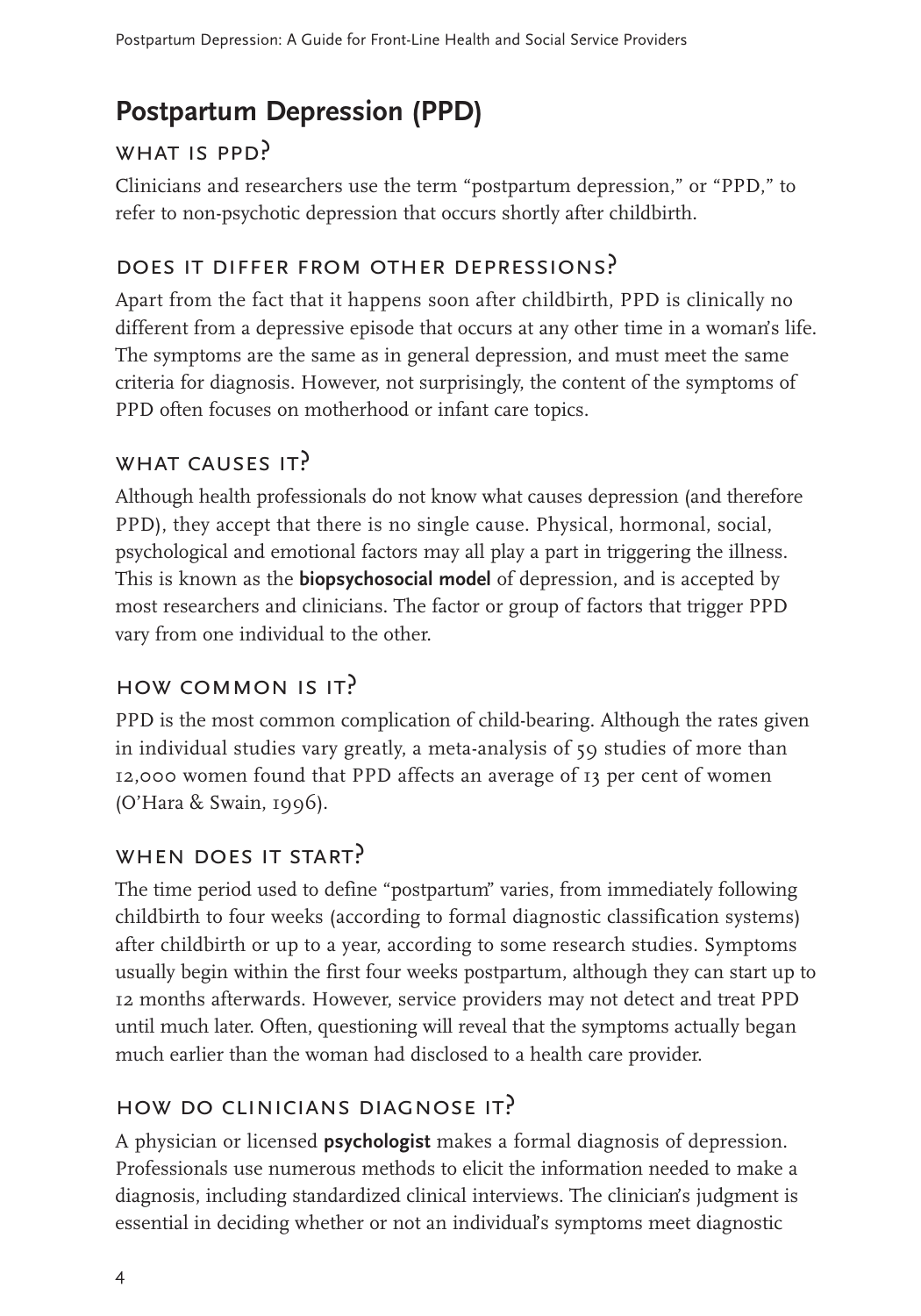# **Postpartum Depression (PPD)**

### WHAT IS PPD?

Clinicians and researchers use the term "postpartum depression," or "PPD," to refer to non-psychotic depression that occurs shortly after childbirth.

### does it differ from other depressions?

Apart from the fact that it happens soon after childbirth, PPD is clinically no different from a depressive episode that occurs at any other time in a woman's life. The symptoms are the same as in general depression, and must meet the same criteria for diagnosis. However, not surprisingly, the content of the symptoms of PPD often focuses on motherhood or infant care topics.

#### WHAT CAUSES IT?

Although health professionals do not know what causes depression (and therefore PPD), they accept that there is no single cause. Physical, hormonal, social, psychological and emotional factors may all play a part in triggering the illness. This is known as the **biopsychosocial model** of depression, and is accepted by most researchers and clinicians. The factor or group of factors that trigger PPD vary from one individual to the other.

# how common is it?

PPD is the most common complication of child-bearing. Although the rates given in individual studies vary greatly, a meta-analysis of 59 studies of more than 12,000 women found that PPD affects an average of 13 per cent of women (O'Hara & Swain, 1996).

#### WHEN DOES IT START?

The time period used to define "postpartum" varies, from immediately following childbirth to four weeks (according to formal diagnostic classification systems) after childbirth or up to a year, according to some research studies. Symptoms usually begin within the first four weeks postpartum, although they can start up to 12 months afterwards. However, service providers may not detect and treat PPD until much later. Often, questioning will reveal that the symptoms actually began much earlier than the woman had disclosed to a health care provider.

### how do clinicians diagnose it?

A physician or licensed **psychologist** makes a formal diagnosis of depression. Professionals use numerous methods to elicit the information needed to make a diagnosis, including standardized clinical interviews. The clinician's judgment is essential in deciding whether or not an individual's symptoms meet diagnostic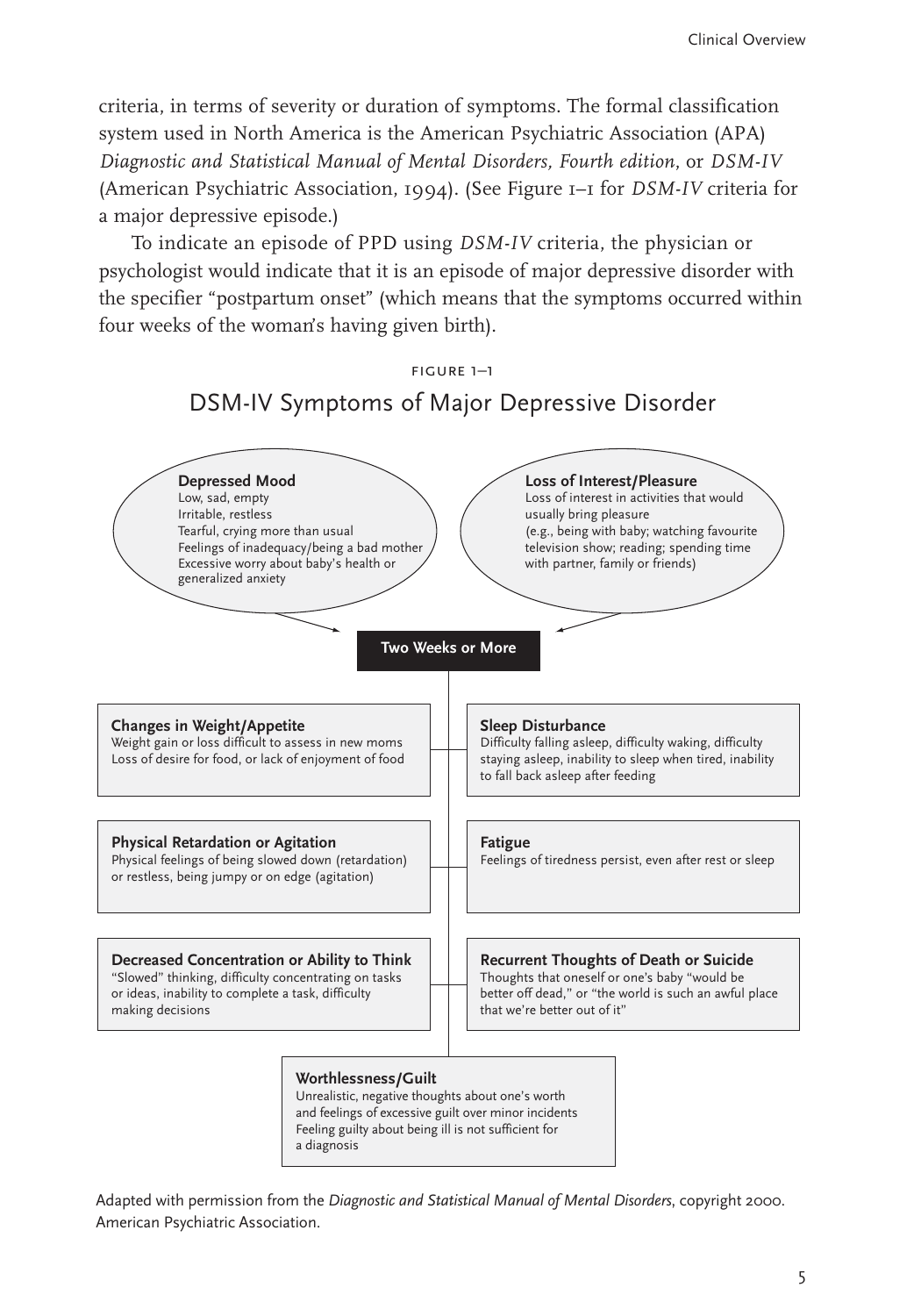criteria, in terms of severity or duration of symptoms. The formal classification system used in North America is the American Psychiatric Association (APA) *Diagnostic and Statistical Manual of Mental Disorders, Fourth edition*, or *DSM-IV* (American Psychiatric Association, 1994). (See Figure 1–1 for *DSM-IV* criteria for a major depressive episode.)

To indicate an episode of PPD using *DSM-IV* criteria, the physician or psychologist would indicate that it is an episode of major depressive disorder with the specifier "postpartum onset" (which means that the symptoms occurred within four weeks of the woman's having given birth).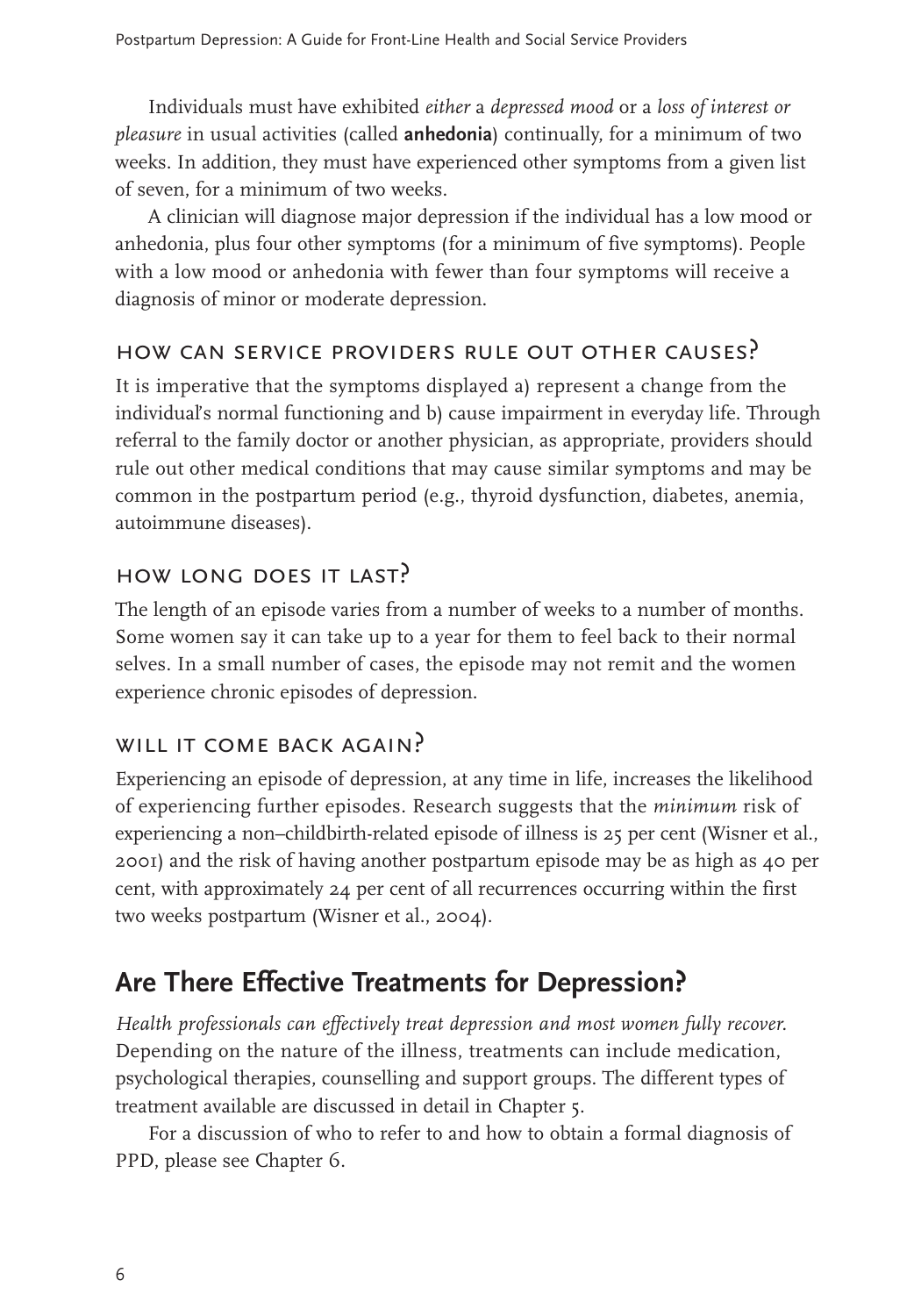Individuals must have exhibited *either* a *depressed mood* or a *loss of interest or pleasure* in usual activities (called **anhedonia**) continually, for a minimum of two weeks. In addition, they must have experienced other symptoms from a given list of seven, for a minimum of two weeks.

A clinician will diagnose major depression if the individual has a low mood or anhedonia, plus four other symptoms (for a minimum of five symptoms). People with a low mood or anhedonia with fewer than four symptoms will receive a diagnosis of minor or moderate depression.

### how can service providers rule out other causes?

It is imperative that the symptoms displayed a) represent a change from the individual's normal functioning and b) cause impairment in everyday life. Through referral to the family doctor or another physician, as appropriate, providers should rule out other medical conditions that may cause similar symptoms and may be common in the postpartum period (e.g., thyroid dysfunction, diabetes, anemia, autoimmune diseases).

# how long does it last?

The length of an episode varies from a number of weeks to a number of months. Some women say it can take up to a year for them to feel back to their normal selves. In a small number of cases, the episode may not remit and the women experience chronic episodes of depression.

### WILL IT COME BACK AGAIN?

Experiencing an episode of depression, at any time in life, increases the likelihood of experiencing further episodes. Research suggests that the *minimum* risk of experiencing a non–childbirth-related episode of illness is 25 per cent (Wisner et al., 2001) and the risk of having another postpartum episode may be as high as 40 per cent, with approximately 24 per cent of all recurrences occurring within the first two weeks postpartum (Wisner et al., 2004).

### **Are There Effective Treatments for Depression?**

*Health professionals can effectively treat depression and most women fully recover.* Depending on the nature of the illness, treatments can include medication, psychological therapies, counselling and support groups. The different types of treatment available are discussed in detail in Chapter 5.

For a discussion of who to refer to and how to obtain a formal diagnosis of PPD, please see Chapter 6.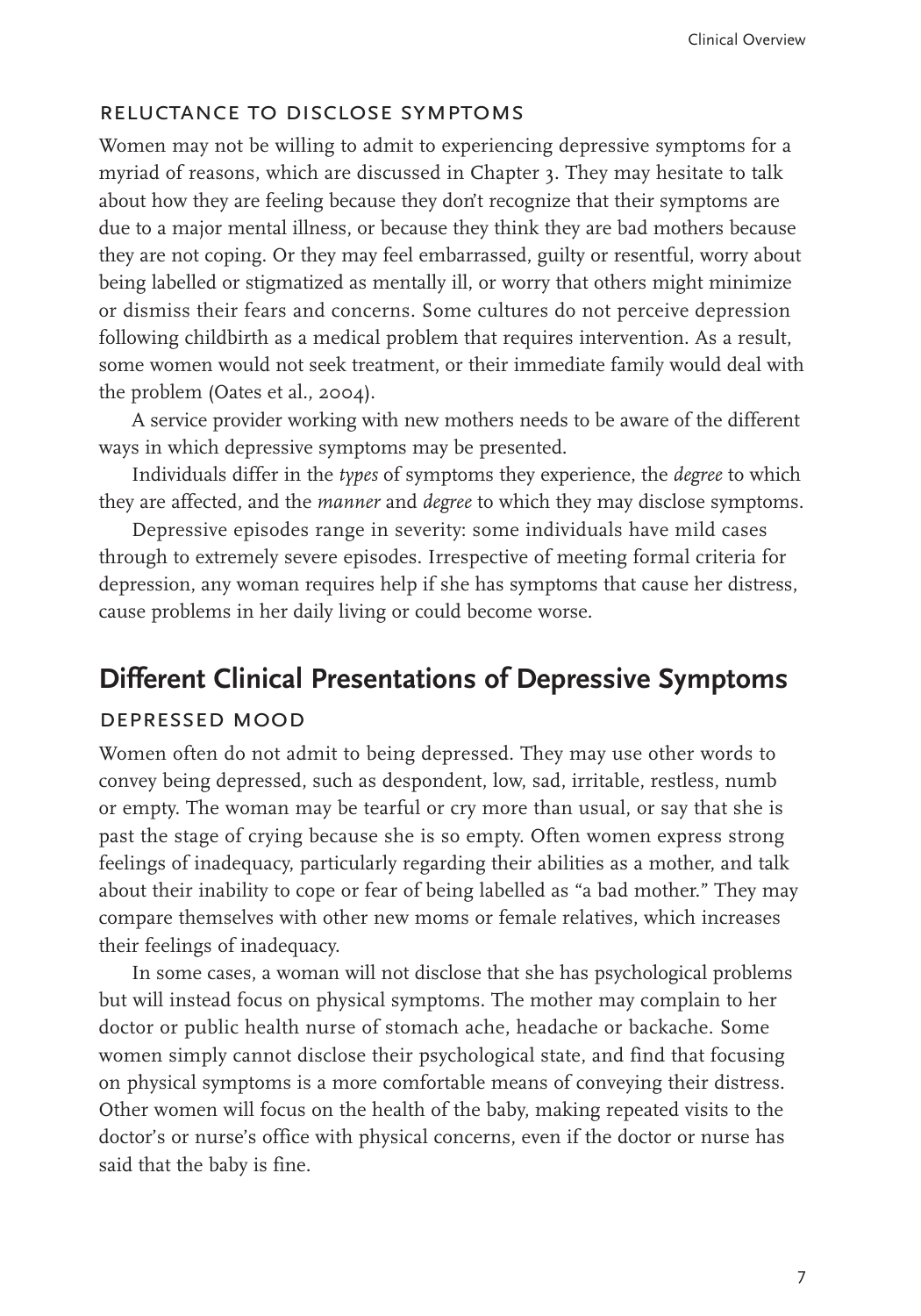#### reluctance to disclose symptoms

Women may not be willing to admit to experiencing depressive symptoms for a myriad of reasons, which are discussed in Chapter 3. They may hesitate to talk about how they are feeling because they don't recognize that their symptoms are due to a major mental illness, or because they think they are bad mothers because they are not coping. Or they may feel embarrassed, guilty or resentful, worry about being labelled or stigmatized as mentally ill, or worry that others might minimize or dismiss their fears and concerns. Some cultures do not perceive depression following childbirth as a medical problem that requires intervention. As a result, some women would not seek treatment, or their immediate family would deal with the problem (Oates et al., 2004).

A service provider working with new mothers needs to be aware of the different ways in which depressive symptoms may be presented.

Individuals differ in the *types* of symptoms they experience, the *degree* to which they are affected, and the *manner* and *degree* to which they may disclose symptoms.

Depressive episodes range in severity: some individuals have mild cases through to extremely severe episodes. Irrespective of meeting formal criteria for depression, any woman requires help if she has symptoms that cause her distress, cause problems in her daily living or could become worse.

#### **Different Clinical Presentations of Depressive Symptoms**

#### depressed mood

Women often do not admit to being depressed. They may use other words to convey being depressed, such as despondent, low, sad, irritable, restless, numb or empty. The woman may be tearful or cry more than usual, or say that she is past the stage of crying because she is so empty. Often women express strong feelings of inadequacy, particularly regarding their abilities as a mother, and talk about their inability to cope or fear of being labelled as "a bad mother." They may compare themselves with other new moms or female relatives, which increases their feelings of inadequacy.

In some cases, a woman will not disclose that she has psychological problems but will instead focus on physical symptoms. The mother may complain to her doctor or public health nurse of stomach ache, headache or backache. Some women simply cannot disclose their psychological state, and find that focusing on physical symptoms is a more comfortable means of conveying their distress. Other women will focus on the health of the baby, making repeated visits to the doctor's or nurse's office with physical concerns, even if the doctor or nurse has said that the baby is fine.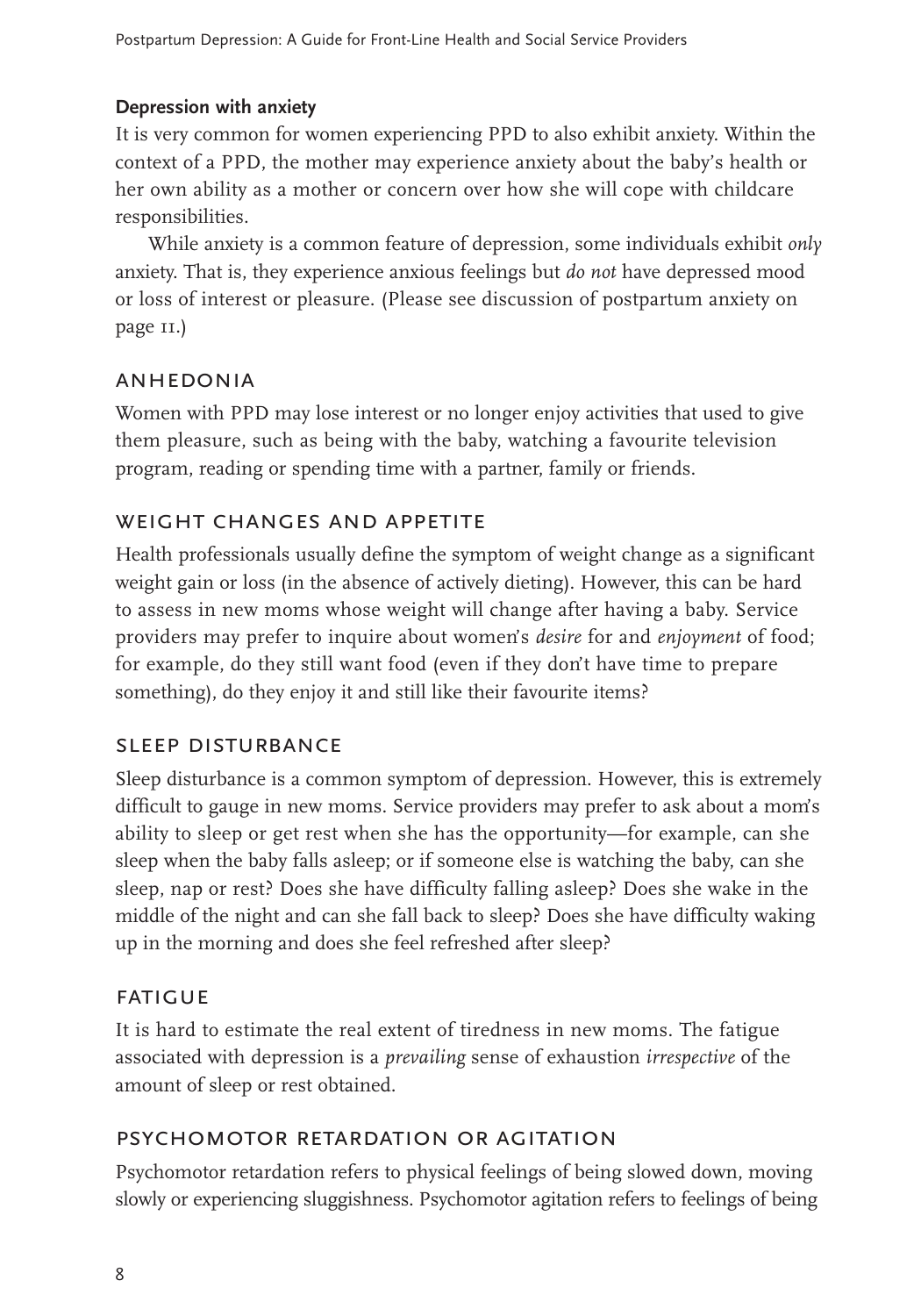#### **Depression with anxiety**

It is very common for women experiencing PPD to also exhibit anxiety. Within the context of a PPD, the mother may experience anxiety about the baby's health or her own ability as a mother or concern over how she will cope with childcare responsibilities.

While anxiety is a common feature of depression, some individuals exhibit *only* anxiety. That is, they experience anxious feelings but *do not* have depressed mood or loss of interest or pleasure. (Please see discussion of postpartum anxiety on page 11.)

#### **ANHEDONIA**

Women with PPD may lose interest or no longer enjoy activities that used to give them pleasure, such as being with the baby, watching a favourite television program, reading or spending time with a partner, family or friends.

## weight changes and appetite

Health professionals usually define the symptom of weight change as a significant weight gain or loss (in the absence of actively dieting). However, this can be hard to assess in new moms whose weight will change after having a baby. Service providers may prefer to inquire about women's *desire* for and *enjoyment* of food; for example, do they still want food (even if they don't have time to prepare something), do they enjoy it and still like their favourite items?

#### sleep disturbance

Sleep disturbance is a common symptom of depression. However, this is extremely difficult to gauge in new moms. Service providers may prefer to ask about a mom's ability to sleep or get rest when she has the opportunity—for example, can she sleep when the baby falls asleep; or if someone else is watching the baby, can she sleep, nap or rest? Does she have difficulty falling asleep? Does she wake in the middle of the night and can she fall back to sleep? Does she have difficulty waking up in the morning and does she feel refreshed after sleep?

#### **FATIGUE**

It is hard to estimate the real extent of tiredness in new moms. The fatigue associated with depression is a *prevailing* sense of exhaustion *irrespective* of the amount of sleep or rest obtained.

### psychomotor retardation or agitation

Psychomotor retardation refers to physical feelings of being slowed down, moving slowly or experiencing sluggishness. Psychomotor agitation refers to feelings of being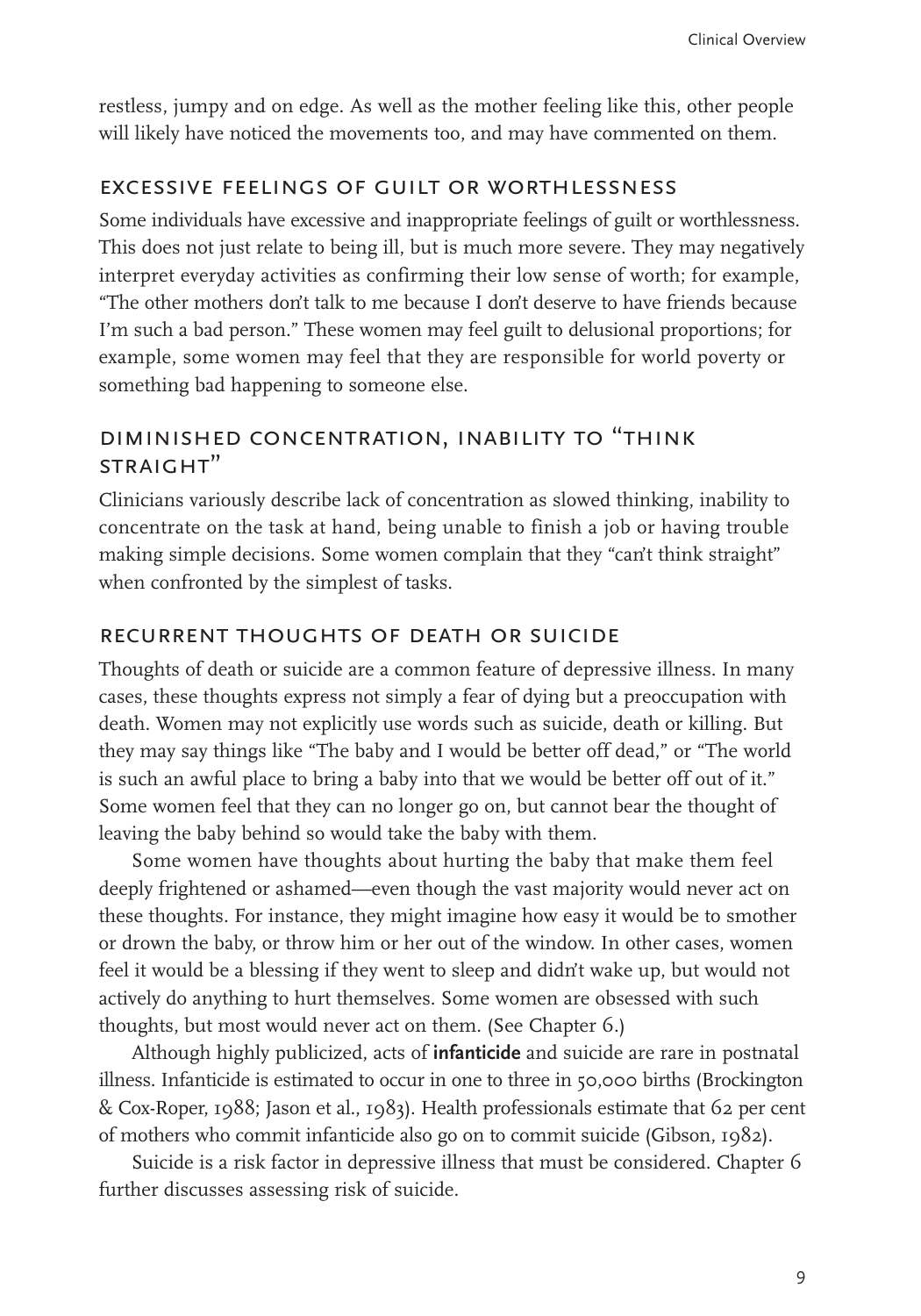restless, jumpy and on edge. As well as the mother feeling like this, other people will likely have noticed the movements too, and may have commented on them.

# excessive feelings of guilt or worthlessness

Some individuals have excessive and inappropriate feelings of guilt or worthlessness. This does not just relate to being ill, but is much more severe. They may negatively interpret everyday activities as confirming their low sense of worth; for example, "The other mothers don't talk to me because I don't deserve to have friends because I'm such a bad person." These women may feel guilt to delusional proportions; for example, some women may feel that they are responsible for world poverty or something bad happening to someone else.

### diminished concentration, inability to "think straight"

Clinicians variously describe lack of concentration as slowed thinking, inability to concentrate on the task at hand, being unable to finish a job or having trouble making simple decisions. Some women complain that they "can't think straight" when confronted by the simplest of tasks.

#### recurrent thoughts of death or suicide

Thoughts of death or suicide are a common feature of depressive illness. In many cases, these thoughts express not simply a fear of dying but a preoccupation with death. Women may not explicitly use words such as suicide, death or killing. But they may say things like "The baby and I would be better off dead," or "The world is such an awful place to bring a baby into that we would be better off out of it." Some women feel that they can no longer go on, but cannot bear the thought of leaving the baby behind so would take the baby with them.

Some women have thoughts about hurting the baby that make them feel deeply frightened or ashamed—even though the vast majority would never act on these thoughts. For instance, they might imagine how easy it would be to smother or drown the baby, or throw him or her out of the window. In other cases, women feel it would be a blessing if they went to sleep and didn't wake up, but would not actively do anything to hurt themselves. Some women are obsessed with such thoughts, but most would never act on them. (See Chapter 6.)

Although highly publicized, acts of **infanticide** and suicide are rare in postnatal illness. Infanticide is estimated to occur in one to three in 50,000 births (Brockington & Cox-Roper, 1988; Jason et al., 1983). Health professionals estimate that 62 per cent of mothers who commit infanticide also go on to commit suicide (Gibson, 1982).

Suicide is a risk factor in depressive illness that must be considered. Chapter 6 further discusses assessing risk of suicide.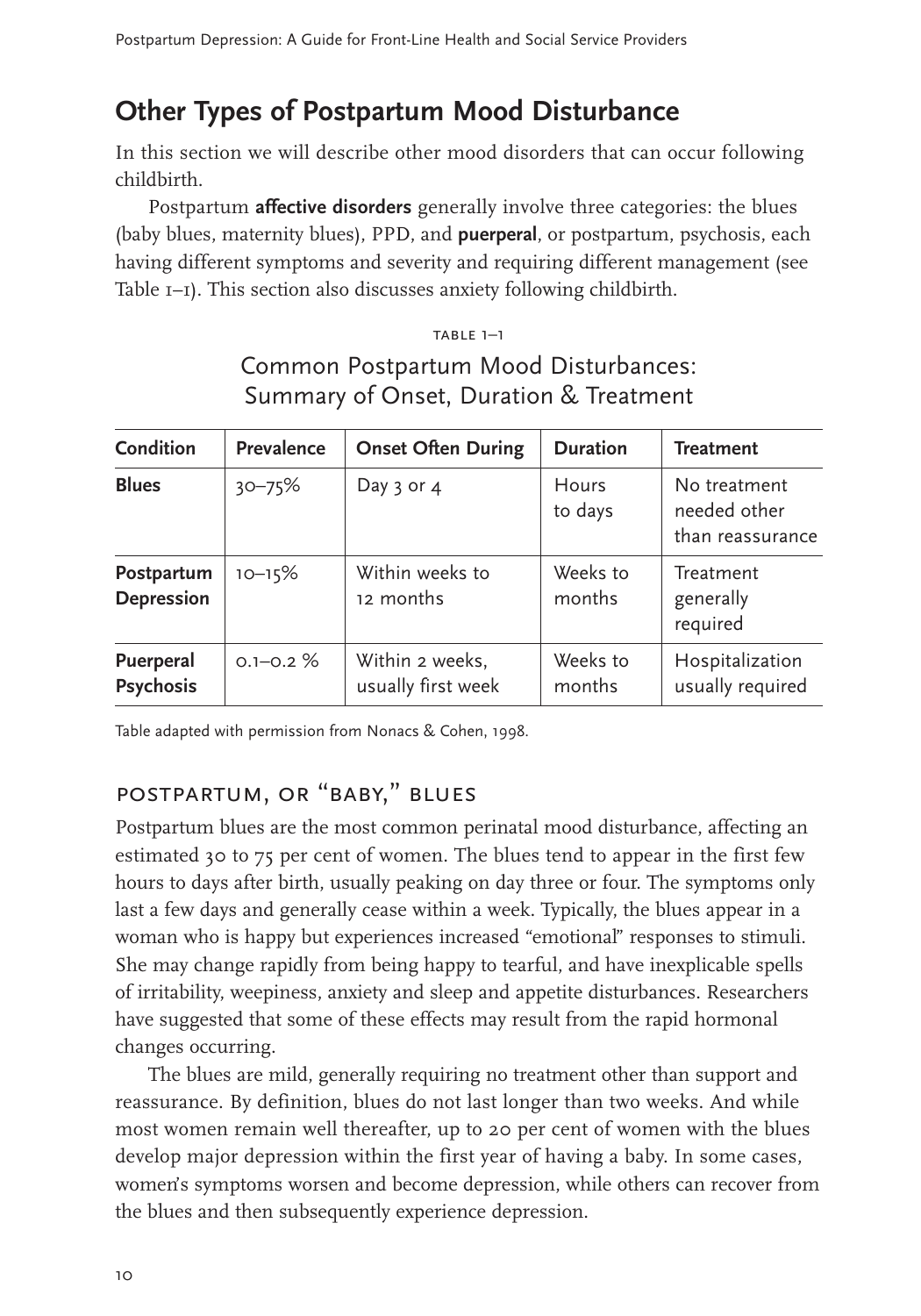# **Other Types of Postpartum Mood Disturbance**

In this section we will describe other mood disorders that can occur following childbirth.

Postpartum **affective disorders** generally involve three categories: the blues (baby blues, maternity blues), PPD, and **puerperal**, or postpartum, psychosis, each having different symptoms and severity and requiring different management (see Table 1–1). This section also discusses anxiety following childbirth.

#### table 1–1

| <b>Condition</b>                | <b>Prevalence</b> | <b>Onset Often During</b>             | <b>Duration</b>         | <b>Treatment</b>                                 |
|---------------------------------|-------------------|---------------------------------------|-------------------------|--------------------------------------------------|
| <b>Blues</b>                    | $30 - 75%$        | Day $3$ or $4$                        | <b>Hours</b><br>to days | No treatment<br>needed other<br>than reassurance |
| Postpartum<br><b>Depression</b> | $10 - 15%$        | Within weeks to<br>12 months          | Weeks to<br>months      | Treatment<br>generally<br>required               |
| Puerperal<br><b>Psychosis</b>   | $0.1 - 0.2 \%$    | Within 2 weeks,<br>usually first week | Weeks to<br>months      | Hospitalization<br>usually required              |

Common Postpartum Mood Disturbances: Summary of Onset, Duration & Treatment

Table adapted with permission from Nonacs & Cohen, 1998.

## postpartum, or "baby," blues

Postpartum blues are the most common perinatal mood disturbance, affecting an estimated 30 to 75 per cent of women. The blues tend to appear in the first few hours to days after birth, usually peaking on day three or four. The symptoms only last a few days and generally cease within a week. Typically, the blues appear in a woman who is happy but experiences increased "emotional" responses to stimuli. She may change rapidly from being happy to tearful, and have inexplicable spells of irritability, weepiness, anxiety and sleep and appetite disturbances. Researchers have suggested that some of these effects may result from the rapid hormonal changes occurring.

The blues are mild, generally requiring no treatment other than support and reassurance. By definition, blues do not last longer than two weeks. And while most women remain well thereafter, up to 20 per cent of women with the blues develop major depression within the first year of having a baby. In some cases, women's symptoms worsen and become depression, while others can recover from the blues and then subsequently experience depression.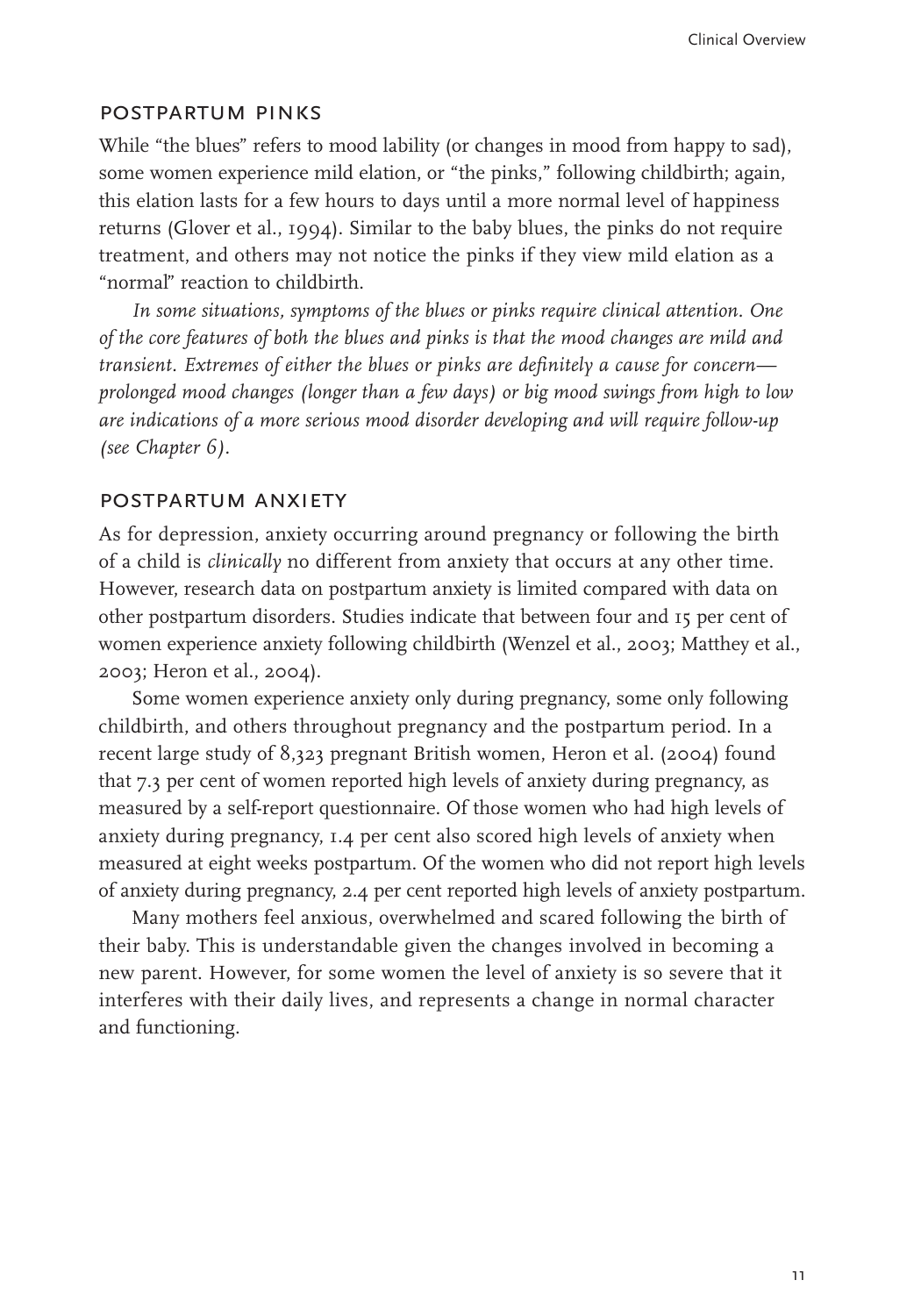#### postpartum pinks

While "the blues" refers to mood lability (or changes in mood from happy to sad), some women experience mild elation, or "the pinks," following childbirth; again, this elation lasts for a few hours to days until a more normal level of happiness returns (Glover et al., 1994). Similar to the baby blues, the pinks do not require treatment, and others may not notice the pinks if they view mild elation as a "normal" reaction to childbirth.

*In some situations, symptoms of the blues or pinks require clinical attention. One of the core features of both the blues and pinks is that the mood changes are mild and transient. Extremes of either the blues or pinks are definitely a cause for concern prolonged mood changes (longer than a few days) or big mood swings from high to low are indications of a more serious mood disorder developing and will require follow-up (see Chapter 6).*

#### postpartum anxiety

As for depression, anxiety occurring around pregnancy or following the birth of a child is *clinically* no different from anxiety that occurs at any other time. However, research data on postpartum anxiety is limited compared with data on other postpartum disorders. Studies indicate that between four and 15 per cent of women experience anxiety following childbirth (Wenzel et al., 2003; Matthey et al., 2003; Heron et al., 2004).

Some women experience anxiety only during pregnancy, some only following childbirth, and others throughout pregnancy and the postpartum period. In a recent large study of 8,323 pregnant British women, Heron et al. (2004) found that 7.3 per cent of women reported high levels of anxiety during pregnancy, as measured by a self-report questionnaire. Of those women who had high levels of anxiety during pregnancy, 1.4 per cent also scored high levels of anxiety when measured at eight weeks postpartum. Of the women who did not report high levels of anxiety during pregnancy, 2.4 per cent reported high levels of anxiety postpartum.

Many mothers feel anxious, overwhelmed and scared following the birth of their baby. This is understandable given the changes involved in becoming a new parent. However, for some women the level of anxiety is so severe that it interferes with their daily lives, and represents a change in normal character and functioning.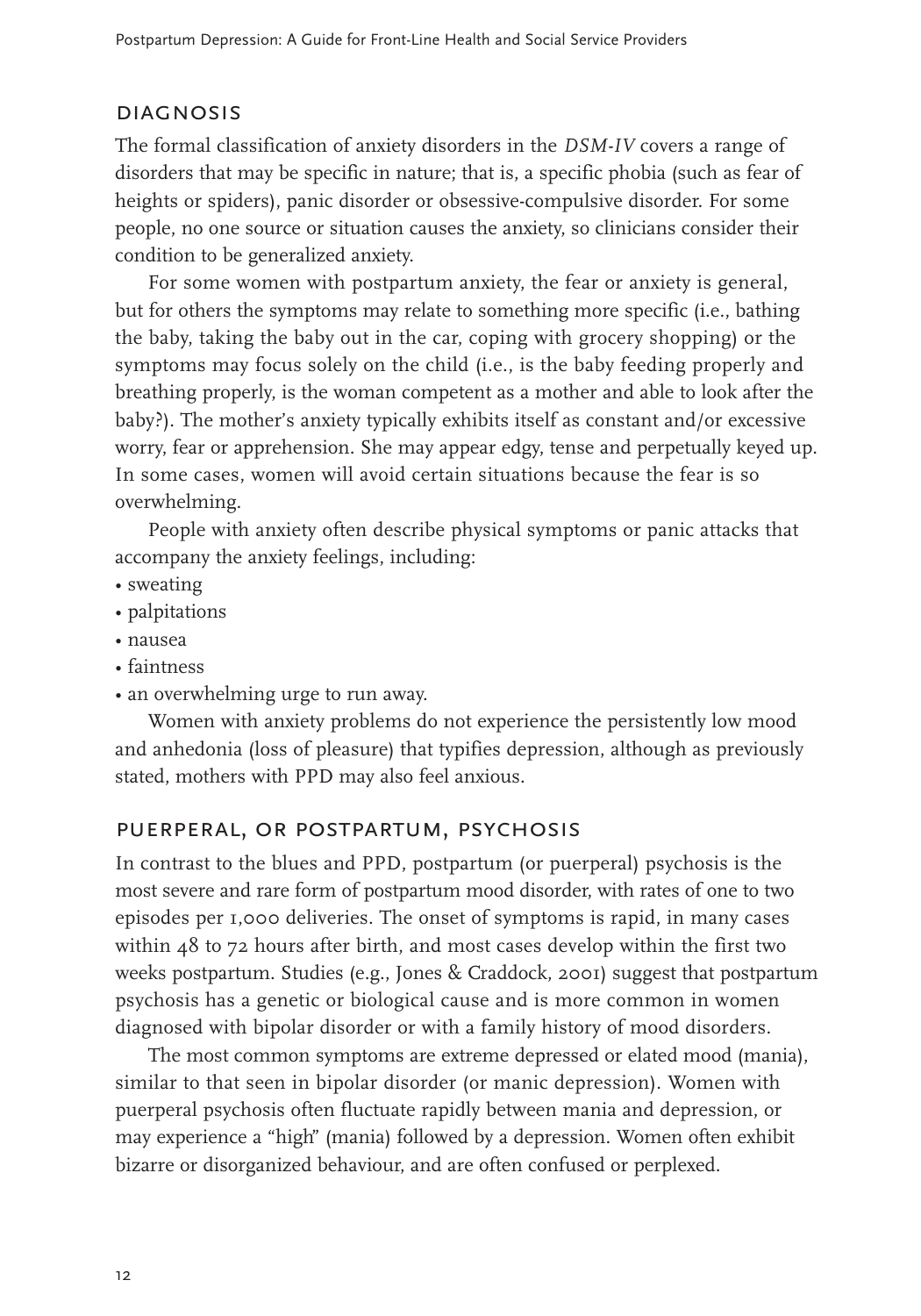#### **DIAGNOSIS**

The formal classification of anxiety disorders in the *DSM-IV* covers a range of disorders that may be specific in nature; that is, a specific phobia (such as fear of heights or spiders), panic disorder or obsessive-compulsive disorder. For some people, no one source or situation causes the anxiety, so clinicians consider their condition to be generalized anxiety.

For some women with postpartum anxiety, the fear or anxiety is general, but for others the symptoms may relate to something more specific (i.e., bathing the baby, taking the baby out in the car, coping with grocery shopping) or the symptoms may focus solely on the child (i.e., is the baby feeding properly and breathing properly, is the woman competent as a mother and able to look after the baby?). The mother's anxiety typically exhibits itself as constant and/or excessive worry, fear or apprehension. She may appear edgy, tense and perpetually keyed up. In some cases, women will avoid certain situations because the fear is so overwhelming.

People with anxiety often describe physical symptoms or panic attacks that accompany the anxiety feelings, including:

- sweating
- palpitations
- nausea
- faintness
- an overwhelming urge to run away.

Women with anxiety problems do not experience the persistently low mood and anhedonia (loss of pleasure) that typifies depression, although as previously stated, mothers with PPD may also feel anxious.

### puerperal, or postpartum, psychosis

In contrast to the blues and PPD, postpartum (or puerperal) psychosis is the most severe and rare form of postpartum mood disorder, with rates of one to two episodes per 1,000 deliveries. The onset of symptoms is rapid, in many cases within 48 to 72 hours after birth, and most cases develop within the first two weeks postpartum. Studies (e.g., Jones & Craddock, 2001) suggest that postpartum psychosis has a genetic or biological cause and is more common in women diagnosed with bipolar disorder or with a family history of mood disorders.

The most common symptoms are extreme depressed or elated mood (mania), similar to that seen in bipolar disorder (or manic depression). Women with puerperal psychosis often fluctuate rapidly between mania and depression, or may experience a "high" (mania) followed by a depression. Women often exhibit bizarre or disorganized behaviour, and are often confused or perplexed.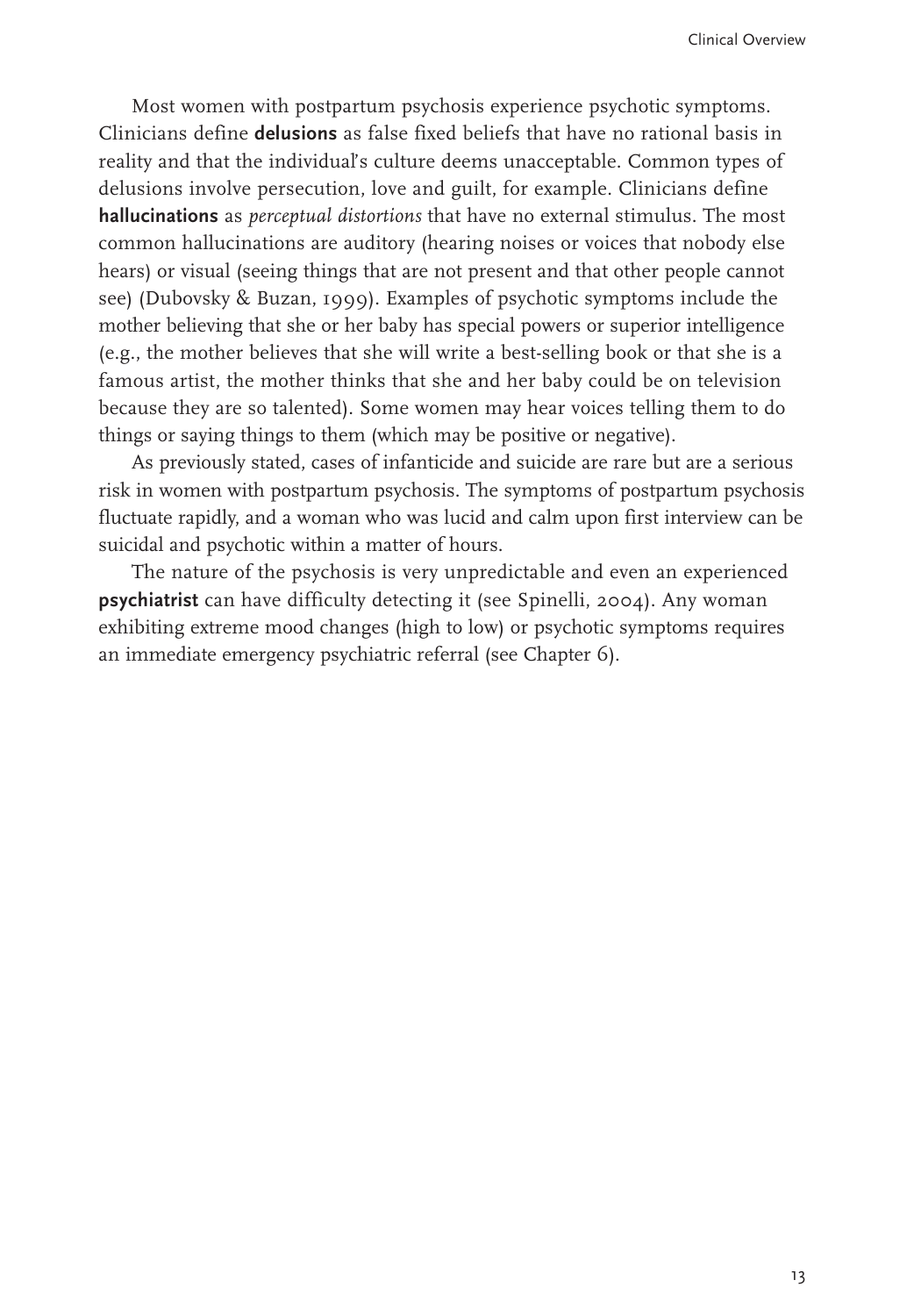Most women with postpartum psychosis experience psychotic symptoms. Clinicians define **delusions** as false fixed beliefs that have no rational basis in reality and that the individual's culture deems unacceptable. Common types of delusions involve persecution, love and guilt, for example. Clinicians define **hallucinations** as *perceptual distortions* that have no external stimulus. The most common hallucinations are auditory (hearing noises or voices that nobody else hears) or visual (seeing things that are not present and that other people cannot see) (Dubovsky & Buzan, 1999). Examples of psychotic symptoms include the mother believing that she or her baby has special powers or superior intelligence (e.g., the mother believes that she will write a best-selling book or that she is a famous artist, the mother thinks that she and her baby could be on television because they are so talented). Some women may hear voices telling them to do things or saying things to them (which may be positive or negative).

As previously stated, cases of infanticide and suicide are rare but are a serious risk in women with postpartum psychosis. The symptoms of postpartum psychosis fluctuate rapidly, and a woman who was lucid and calm upon first interview can be suicidal and psychotic within a matter of hours.

The nature of the psychosis is very unpredictable and even an experienced **psychiatrist** can have difficulty detecting it (see Spinelli, 2004). Any woman exhibiting extreme mood changes (high to low) or psychotic symptoms requires an immediate emergency psychiatric referral (see Chapter 6).